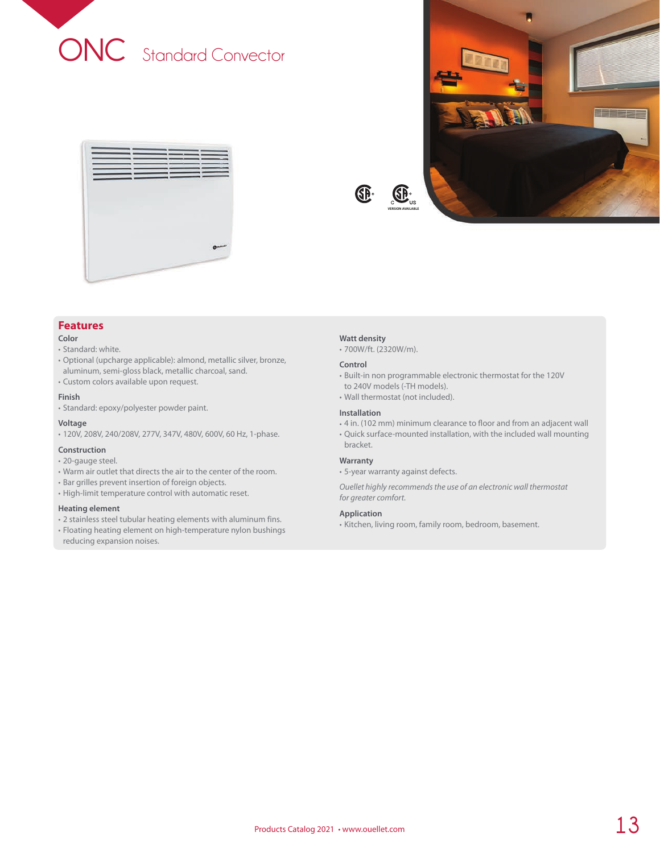





## **Features**

## **Color**

- Standard: white.
- Optional (upcharge applicable): almond, metallic silver, bronze, aluminum, semi-gloss black, metallic charcoal, sand.
- Custom colors available upon request.

## **Finish**

• Standard: epoxy/polyester powder paint.

## **Voltage**

• 120V, 208V, 240/208V, 277V, 347V, 480V, 600V, 60 Hz, 1-phase.

### **Construction**

- 20-gauge steel.
- Warm air outlet that directs the air to the center of the room.
- Bar grilles prevent insertion of foreign objects.
- High-limit temperature control with automatic reset.

## **Heating element**

- 2 stainless steel tubular heating elements with aluminum fins.
- Floating heating element on high-temperature nylon bushings reducing expansion noises.

#### **Watt density**

GP.

• 700W/ft. (2320W/m).

#### **Control**

- Built-in non programmable electronic thermostat for the 120V to 240V models (-TH models).
- Wall thermostat (not included).

## **Installation**

- 4 in. (102 mm) minimum clearance to floor and from an adjacent wall
- Quick surface-mounted installation, with the included wall mounting bracket.

#### **Warranty**

• 5-year warranty against defects.

*Ouellet highly recommends the use of an electronic wall thermostat for greater comfort.*

## **Application**

• Kitchen, living room, family room, bedroom, basement.